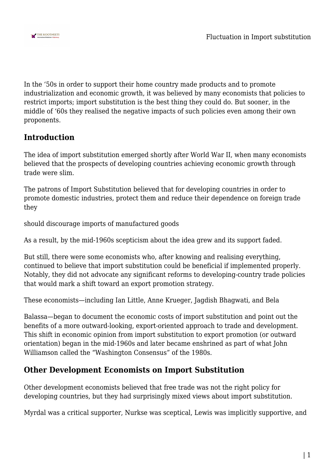

In the '50s in order to support their home country made products and to promote industrialization and economic growth, it was believed by many economists that policies to restrict imports; import substitution is the best thing they could do. But sooner, in the middle of '60s they realised the negative impacts of such policies even among their own proponents.

# **Introduction**

The idea of import substitution emerged shortly after World War II, when many economists believed that the prospects of developing countries achieving economic growth through trade were slim.

The patrons of Import Substitution believed that for developing countries in order to promote domestic industries, protect them and reduce their dependence on foreign trade they

should discourage imports of manufactured goods

As a result, by the mid-1960s scepticism about the idea grew and its support faded.

But still, there were some economists who, after knowing and realising everything, continued to believe that import substitution could be beneficial if implemented properly. Notably, they did not advocate any significant reforms to developing-country trade policies that would mark a shift toward an export promotion strategy.

These economists—including Ian Little, Anne Krueger, Jagdish Bhagwati, and Bela

Balassa—began to document the economic costs of import substitution and point out the benefits of a more outward-looking, export-oriented approach to trade and development. This shift in economic opinion from import substitution to export promotion (or outward orientation) began in the mid-1960s and later became enshrined as part of what John Williamson called the "Washington Consensus" of the 1980s.

## **Other Development Economists on Import Substitution**

Other development economists believed that free trade was not the right policy for developing countries, but they had surprisingly mixed views about import substitution.

Myrdal was a critical supporter, Nurkse was sceptical, Lewis was implicitly supportive, and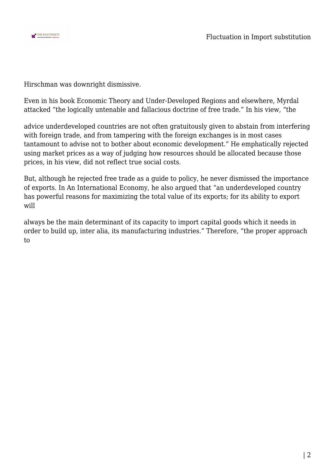

Hirschman was downright dismissive.

Even in his book Economic Theory and Under-Developed Regions and elsewhere, Myrdal attacked "the logically untenable and fallacious doctrine of free trade." In his view, "the

advice underdeveloped countries are not often gratuitously given to abstain from interfering with foreign trade, and from tampering with the foreign exchanges is in most cases tantamount to advise not to bother about economic development." He emphatically rejected using market prices as a way of judging how resources should be allocated because those prices, in his view, did not reflect true social costs.

But, although he rejected free trade as a guide to policy, he never dismissed the importance of exports. In An International Economy, he also argued that "an underdeveloped country has powerful reasons for maximizing the total value of its exports; for its ability to export will

always be the main determinant of its capacity to import capital goods which it needs in order to build up, inter alia, its manufacturing industries." Therefore, "the proper approach to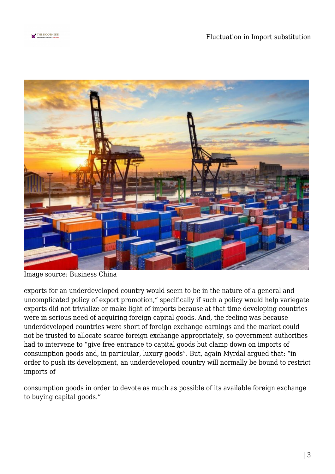



Image source: Business China

exports for an underdeveloped country would seem to be in the nature of a general and uncomplicated policy of export promotion," specifically if such a policy would help variegate exports did not trivialize or make light of imports because at that time developing countries were in serious need of acquiring foreign capital goods. And, the feeling was because underdeveloped countries were short of foreign exchange earnings and the market could not be trusted to allocate scarce foreign exchange appropriately, so government authorities had to intervene to "give free entrance to capital goods but clamp down on imports of consumption goods and, in particular, luxury goods". But, again Myrdal argued that: "in order to push its development, an underdeveloped country will normally be bound to restrict imports of

consumption goods in order to devote as much as possible of its available foreign exchange to buying capital goods."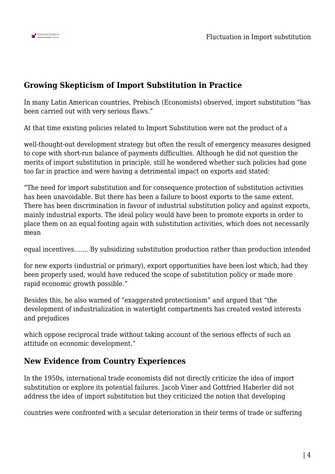

## **Growing Skepticism of Import Substitution in Practice**

In many Latin American countries, Prebisch (Economists) observed, import substitution "has been carried out with very serious flaws."

At that time existing policies related to Import Substitution were not the product of a

well-thought-out development strategy but often the result of emergency measures designed to cope with short-run balance of payments difficulties. Although he did not question the merits of import substitution in principle, still he wondered whether such policies had gone too far in practice and were having a detrimental impact on exports and stated:

"The need for import substitution and for consequence protection of substitution activities has been unavoidable. But there has been a failure to boost exports to the same extent. There has been discrimination in favour of industrial substitution policy and against exports, mainly industrial exports. The ideal policy would have been to promote exports in order to place them on an equal footing again with substitution activities, which does not necessarily mean

equal incentives……. By subsidizing substitution production rather than production intended

for new exports (industrial or primary), export opportunities have been lost which, had they been properly used, would have reduced the scope of substitution policy or made more rapid economic growth possible."

Besides this, he also warned of "exaggerated protectionism" and argued that "the development of industrialization in watertight compartments has created vested interests and prejudices

which oppose reciprocal trade without taking account of the serious effects of such an attitude on economic development."

# **New Evidence from Country Experiences**

In the 1950s, international trade economists did not directly criticize the idea of import substitution or explore its potential failures. Jacob Viner and Gottfried Haberler did not address the idea of import substitution but they criticized the notion that developing

countries were confronted with a secular deterioration in their terms of trade or suffering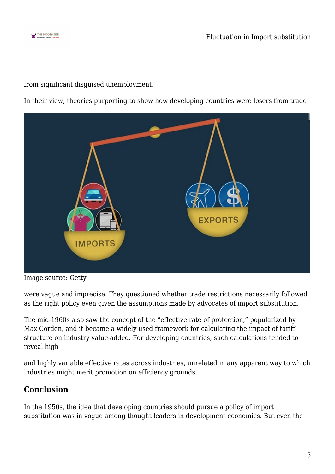

from significant disguised unemployment.

In their view, theories purporting to show how developing countries were losers from trade



Image source: Getty

were vague and imprecise. They questioned whether trade restrictions necessarily followed as the right policy even given the assumptions made by advocates of import substitution.

The mid-1960s also saw the concept of the "effective rate of protection," popularized by Max Corden, and it became a widely used framework for calculating the impact of tariff structure on industry value-added. For developing countries, such calculations tended to reveal high

and highly variable effective rates across industries, unrelated in any apparent way to which industries might merit promotion on efficiency grounds.

## **Conclusion**

In the 1950s, the idea that developing countries should pursue a policy of import substitution was in vogue among thought leaders in development economics. But even the